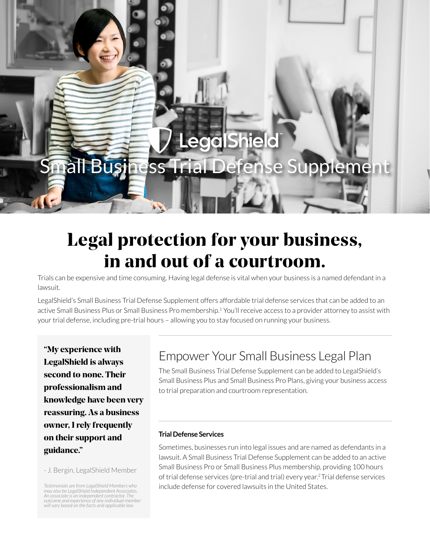# LegalShield Small Business Trial Defense Supplement

# Legal protection for your business, in and out of a courtroom.

Trials can be expensive and time consuming. Having legal defense is vital when your business is a named defendant in a lawsuit.

LegalShield's Small Business Trial Defense Supplement offers affordable trial defense services that can be added to an active Small Business Plus or Small Business Pro membership.<sup>1</sup> You'll receive access to a provider attorney to assist with your trial defense, including pre-trial hours – allowing you to stay focused on running your business.

"My experience with LegalShield is always second to none. Their professionalism and knowledge have been very reassuring. As a business owner, I rely frequently on their support and guidance."

- J. Bergin, LegalShield Member

# Empower Your Small Business Legal Plan

The Small Business Trial Defense Supplement can be added to LegalShield's Small Business Plus and Small Business Pro Plans, giving your business access to trial preparation and courtroom representation.

### **Trial Defense Services**

Sometimes, businesses run into legal issues and are named as defendants in a lawsuit. A Small Business Trial Defense Supplement can be added to an active Small Business Pro or Small Business Plus membership, providing 100 hours of trial defense services (pre-trial and trial) every year.2 Trial defense services include defense for covered lawsuits in the United States.

*Testimonials are from LegalShield Members who may also be LegalShield Independent Associates. An associate is an independent contractor. The outcome and experience of any individual member will vary based on the facts and applicable law.*